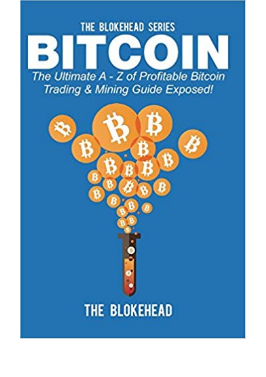

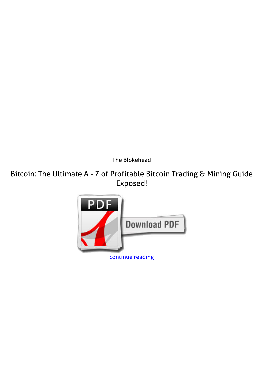*The Blokehead*

**Bitcoin: The Ultimate A - Z of Profitable Bitcoin Trading & Mining Guide Exposed!**

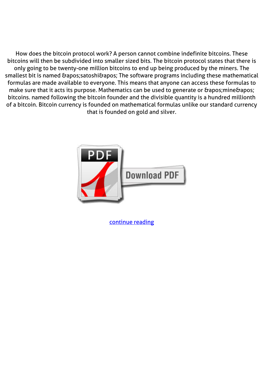How does the bitcoin protocol work? A person cannot combine indefinite bitcoins. These bitcoins will then be subdivided into smaller sized bits. The bitcoin protocol states that there is only going to be twenty-one million bitcoins to end up being produced by the miners. The smallest bit is named & apos; satoshi & apos; The software programs including these mathematical formulas are made available to everyone. This means that anyone can access these formulas to make sure that it acts its purpose. Mathematics can be used to generate or ' mine' bitcoins. named following the bitcoin founder and the divisible quantity is a hundred millionth of a bitcoin. Bitcoin currency is founded on mathematical formulas unlike our standard currency that is founded on gold and silver.



[continue reading](http://bit.ly/2Tge8Fv)